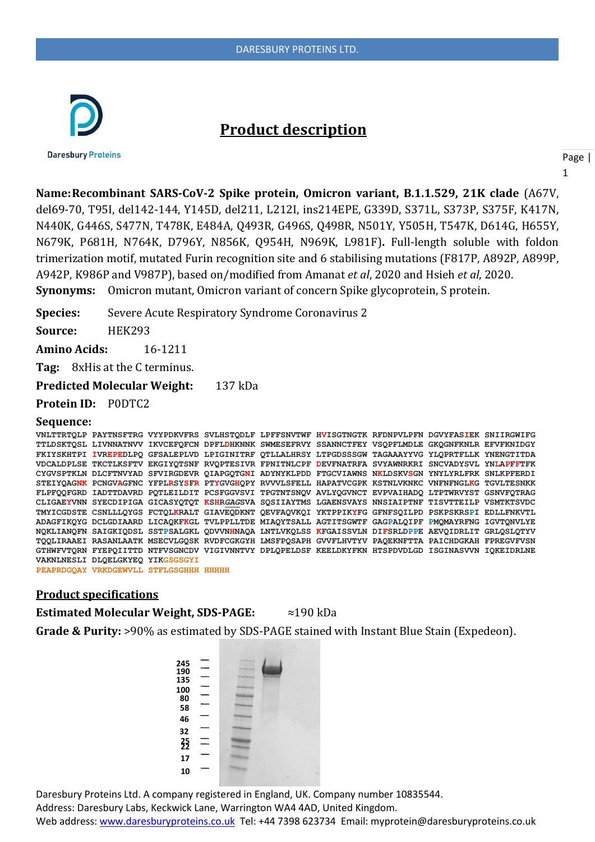

# **Product description**

**Daresbury Proteins** 

Page |

1

**Name:Recombinant SARS-CoV-2 Spike protein, Omicron variant, B.1.1.529, 21K clade** (A67V, del69-70, T95I, del142-144, Y145D, del211, L212I, ins214EPE, G339D, S371L, S373P, S375F, K417N, N440K, G446S, S477N, T478K, E484A, Q493R, G496S, Q498R, N501Y, Y505H, T547K, D614G, H655Y, N679K, P681H, N764K, D796Y, N856K, Q954H, N969K, L981F)**.** Full-length soluble with foldon trimerization motif, mutated Furin recognition site and 6 stabilising mutations (F817P, A892P, A899P, A942P, K986P and V987P), based on/modified from Amanat *et al*, 2020 and Hsieh *et al*, 2020. **Synonyms:** Omicron mutant, Omicron variant of concern Spike glycoprotein, S protein.

**Species:** Severe Acute Respiratory Syndrome Coronavirus 2

**Source:** HEK293

**Amino Acids:** 16-1211

**Tag:** 8xHis at the C terminus.

**Predicted Molecular Weight:** 137 kDa

**Protein ID:** P0DTC2

#### **Sequence:**

**VNLTTRTQLP PAYTNSFTRG VYYPDKVFRS SVLHSTQDLF LPFFSNVTWF HVISGTNGTK RFDNPVLPFN DGVYFASIEK SNIIRGWIFG TTLDSKTQSL LIVNNATNVV IKVCEFQFCN DPFLDHKNNK SWMESEFRVY SSANNCTFEY VSQPFLMDLE GKQGNFKNLR EFVFKNIDGY FKIYSKHTPI IVREPEDLPQ GFSALEPLVD LPIGINITRF QTLLALHRSY LTPGDSSSGW TAGAAAYYVG YLQPRTFLLK YNENGTITDA VDCALDPLSE TKCTLKSFTV EKGIYQTSNF RVQPTESIVR FPNITNLCPF DEVFNATRFA SVYAWNRKRI SNCVADYSVL YNLAPFFTFK CYGVSPTKLN DLCFTNVYAD SFVIRGDEVR QIAPGQTGNI ADYNYKLPDD FTGCVIAWNS NKLDSKVSGN YNYLYRLFRK SNLKPFERDI STEIYQAGNK PCNGVAGFNC YFPLRSYSFR PTYGVGHQPY RVVVLSFELL HAPATVCGPK KSTNLVKNKC VNFNFNGLKG TGVLTESNKK FLPFQQFGRD IADTTDAVRD PQTLEILDIT PCSFGGVSVI TPGTNTSNQV AVLYQGVNCT EVPVAIHADQ LTPTWRVYST GSNVFQTRAG CLIGAEYVNN SYECDIPIGA GICASYQTQT KSHR***GAG***SVA SQSIIAYTMS LGAENSVAYS NNSIAIPTNF TISVTTEILP VSMTKTSVDC TMYICGDSTE CSNLLLQYGS FCTQLKRALT GIAVEQDKNT QEVFAQVKQI YKTPPIKYFG GFNFSQILPD PSKPSKRSPI EDLLFNKVTL ADAGFIKQYG DCLGDIAARD LICAQKFKGL TVLPPLLTDE MIAQYTSALL AGTITSGWTF GAGPALQIPF PMQMAYRFNG IGVTQNVLYE NQKLIANQFN SAIGKIQDSL SSTPSALGKL QDVVNHNAQA LNTLVKQLSS KFGAISSVLN DIFSRLDPPE AEVQIDRLIT GRLQSLQTYV TQQLIRAAEI RASANLAATK MSECVLGQSK RVDFCGKGYH LMSFPQSAPH GVVFLHVTYV PAQEKNFTTA PAICHDGKAH FPREGVFVSN GTHWFVTQRN FYEPQIITTD NTFVSGNCDV VIGIVNNTVY DPLQPELDSF KEELDKYFKN HTSPDVDLGD ISGINASVVN IQKEIDRLNE VAKNLNESLI DLQELGKYEQ YIKGSGSGYI PEAPRDGQAY VRKDGEWVLL STFLGSGHHH HHHHH**

#### **Product specifications**

**Estimated Molecular Weight, SDS-PAGE:** ≈190 kDa

**Grade & Purity:** >90% as estimated by SDS-PAGE stained with Instant Blue Stain (Expedeon).



Daresbury Proteins Ltd. A company registered in England, UK. Company number 10835544. Address: Daresbury Labs, Keckwick Lane, Warrington WA4 4AD, United Kingdom. Web address[: www.daresburyproteins.co.uk](http://www.daresburyproteins.co.uk/) Tel: +44 7398 623734 Email: myprotein@daresburyproteins.co.uk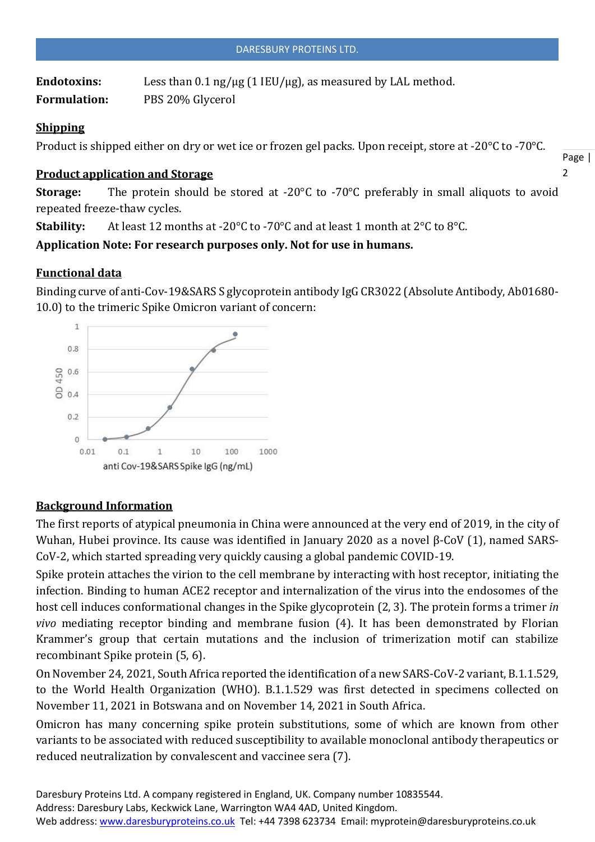Endotoxins: Less than 0.1 ng/µg (1 IEU/µg), as measured by LAL method. **Formulation:** PBS 20% Glycerol

#### **Shipping**

Product is shipped either on dry or wet ice or frozen gel packs. Upon receipt, store at -20°C to -70°C.

## **Product application and Storage**

Page |  $\overline{2}$ 

**Storage:** The protein should be stored at -20°C to -70°C preferably in small aliquots to avoid repeated freeze-thaw cycles.

**Stability:** At least 12 months at -20°C to -70°C and at least 1 month at 2°C to 8°C.

**Application Note: For research purposes only. Not for use in humans.**

## **Functional data**

Binding curve of anti-Cov-19&SARS S glycoprotein antibody IgG CR3022 (Absolute Antibody, Ab01680- 10.0) to the trimeric Spike Omicron variant of concern:



## **Background Information**

The first reports of atypical pneumonia in China were announced at the very end of 2019, in the city of Wuhan, Hubei province. Its cause was identified in January 2020 as a novel β-CoV (1), named SARS-CoV-2, which started spreading very quickly causing a global pandemic COVID-19.

Spike protein attaches the virion to the cell membrane by interacting with host receptor, initiating the infection. Binding to human ACE2 receptor and internalization of the virus into the endosomes of the host cell induces conformational changes in the Spike glycoprotein (2, 3). The protein forms a trimer *in vivo* mediating receptor binding and membrane fusion (4). It has been demonstrated by Florian Krammer's group that certain mutations and the inclusion of trimerization motif can stabilize recombinant Spike protein (5, 6).

On November 24, 2021, South Africa reported the identification of a new SARS-CoV-2 variant, B.1.1.529, to the World Health Organization (WHO). B.1.1.529 was first detected in specimens collected on November 11, 2021 in Botswana and on November 14, 2021 in South Africa.

Omicron has many concerning spike protein substitutions, some of which are known from other variants to be associated with reduced susceptibility to available monoclonal antibody therapeutics or reduced neutralization by convalescent and vaccinee sera (7).

Daresbury Proteins Ltd. A company registered in England, UK. Company number 10835544. Address: Daresbury Labs, Keckwick Lane, Warrington WA4 4AD, United Kingdom. Web address[: www.daresburyproteins.co.uk](http://www.daresburyproteins.co.uk/) Tel: +44 7398 623734 Email: myprotein@daresburyproteins.co.uk